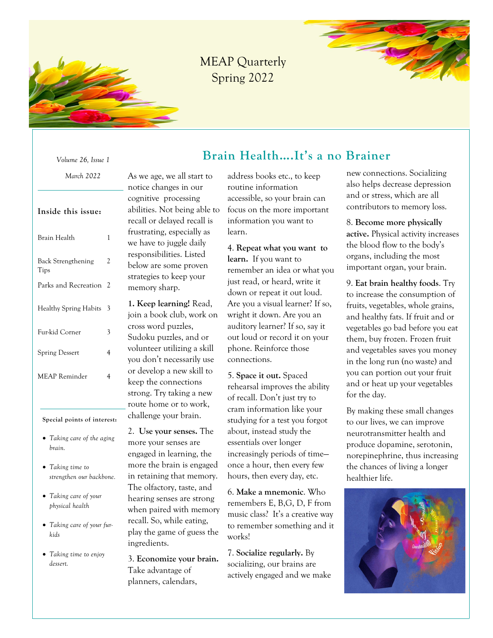

## MEAP Quarterly Spring 2022



*Volume 26, Issue 1*

#### *March 2022*

#### **Inside this issue:**

| Brain Health               | 1 |
|----------------------------|---|
| Back Strengthening<br>Tips | 2 |
| Parks and Recreation       | 2 |
| Healthy Spring Habits      | 3 |
| Fur-kid Corner             | 3 |
| <b>Spring Dessert</b>      | 4 |
| <b>MEAP</b> Reminder       | 4 |
|                            |   |

#### **Special points of interest:**

- *Taking care of the aging brain.*
- *Taking time to strengthen our backbone.*
- *Taking care of your physical health*
- *Taking care of your furkids*
- *Taking time to enjoy dessert.*

As we age, we all start to notice changes in our cognitive processing abilities. Not being able to recall or delayed recall is frustrating, especially as we have to juggle daily responsibilities. Listed below are some proven strategies to keep your memory sharp.

**1. Keep learning!** Read, join a book club, work on cross word puzzles, Sudoku puzzles, and or volunteer utilizing a skill you don't necessarily use or develop a new skill to keep the connections strong. Try taking a new route home or to work, challenge your brain.

2. **Use your senses.** The more your senses are engaged in learning, the more the brain is engaged in retaining that memory. The olfactory, taste, and hearing senses are strong when paired with memory recall. So, while eating, play the game of guess the ingredients.

3. **Economize your brain.**  Take advantage of planners, calendars,

address books etc., to keep routine information accessible, so your brain can focus on the more important information you want to learn.

 **Brain Health….It's a no Brainer**

4. **Repeat what you want to learn.** If you want to remember an idea or what you just read, or heard, write it down or repeat it out loud. Are you a visual learner? If so, wright it down. Are you an auditory learner? If so, say it out loud or record it on your phone. Reinforce those connections.

5. **Space it out.** Spaced rehearsal improves the ability of recall. Don't just try to cram information like your studying for a test you forgot about, instead study the essentials over longer increasingly periods of time once a hour, then every few hours, then every day, etc.

6. **Make a mnemonic**. Who remembers E, B,G, D, F from music class? It's a creative way to remember something and it works!

7. **Socialize regularly.** By socializing, our brains are actively engaged and we make

new connections. Socializing also helps decrease depression and or stress, which are all contributors to memory loss.

8. **Become more physically active.** Physical activity increases the blood flow to the body's organs, including the most important organ, your brain.

9. **Eat brain healthy foods**. Try to increase the consumption of fruits, vegetables, whole grains, and healthy fats. If fruit and or vegetables go bad before you eat them, buy frozen. Frozen fruit and vegetables saves you money in the long run (no waste) and you can portion out your fruit and or heat up your vegetables for the day.

By making these small changes to our lives, we can improve neurotransmitter health and produce dopamine, serotonin, norepinephrine, thus increasing the chances of living a longer healthier life.

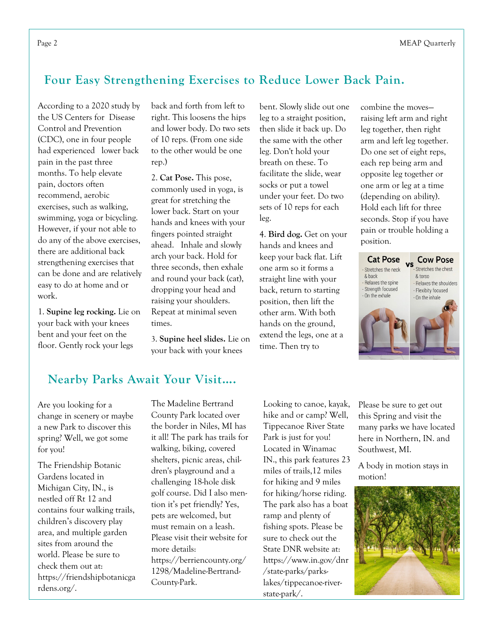## **Four Easy Strengthening Exercises to Reduce Lower Back Pain.**

According to a 2020 study by the US Centers for Disease Control and Prevention (CDC), one in four people had experienced lower back pain in the past three months. To help elevate pain, doctors often recommend, aerobic exercises, such as walking, swimming, yoga or bicycling. However, if your not able to do any of the above exercises, there are additional back strengthening exercises that can be done and are relatively easy to do at home and or work.

1. **Supine leg rocking.** Lie on your back with your knees bent and your feet on the floor. Gently rock your legs

back and forth from left to right. This loosens the hips and lower body. Do two sets of 10 reps. (From one side to the other would be one rep.)

2. **Cat Pose.** This pose, commonly used in yoga, is great for stretching the lower back. Start on your hands and knees with your fingers pointed straight ahead. Inhale and slowly arch your back. Hold for three seconds, then exhale and round your back (cat), dropping your head and raising your shoulders. Repeat at minimal seven times.

3. **Supine heel slides.** Lie on your back with your knees

bent. Slowly slide out one leg to a straight position, then slide it back up. Do the same with the other leg. Don't hold your breath on these. To facilitate the slide, wear socks or put a towel under your feet. Do two sets of 10 reps for each leg.

4. **Bird dog.** Get on your hands and knees and keep your back flat. Lift one arm so it forms a straight line with your back, return to starting position, then lift the other arm. With both hands on the ground, extend the legs, one at a time. Then try to

combine the moves raising left arm and right leg together, then right arm and left leg together. Do one set of eight reps, each rep being arm and opposite leg together or one arm or leg at a time (depending on ability). Hold each lift for three seconds. Stop if you have pain or trouble holding a position.



## **Nearby Parks Await Your Visit….**

Are you looking for a change in scenery or maybe a new Park to discover this spring? Well, we got some for you!

The Friendship Botanic Gardens located in Michigan City, IN., is nestled off Rt 12 and contains four walking trails, children's discovery play area, and multiple garden sites from around the world. Please be sure to check them out at: https://friendshipbotanicga rdens.org/.

The Madeline Bertrand County Park located over the border in Niles, MI has it all! The park has trails for walking, biking, covered shelters, picnic areas, children's playground and a challenging 18-hole disk golf course. Did I also mention it's pet friendly? Yes, pets are welcomed, but must remain on a leash. Please visit their website for more details: https://berriencounty.org/ 1298/Madeline-Bertrand-County-Park.

Looking to canoe, kayak, hike and or camp? Well, Tippecanoe River State Park is just for you! Located in Winamac IN., this park features 23 miles of trails,12 miles for hiking and 9 miles for hiking/horse riding. The park also has a boat ramp and plenty of fishing spots. Please be sure to check out the State DNR website at: https://www.in.gov/dnr /state-parks/parkslakes/tippecanoe-riverstate-park/.

Please be sure to get out this Spring and visit the many parks we have located here in Northern, IN. and Southwest, MI.

A body in motion stays in motion!

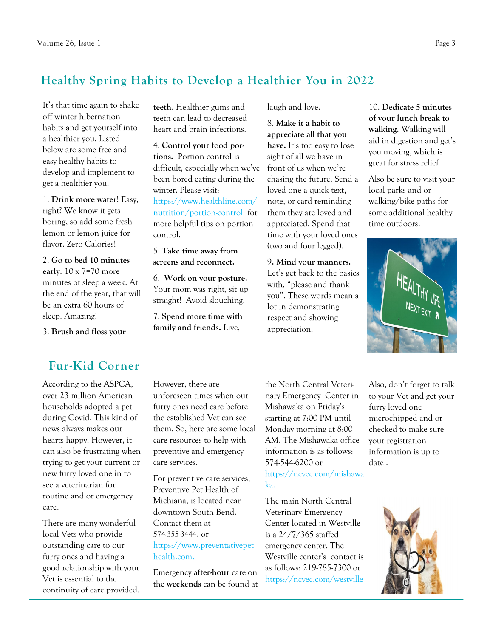## **Healthy Spring Habits to Develop a Healthier You in 2022**

It's that time again to shake off winter hibernation habits and get yourself into a healthier you. Listed below are some free and easy healthy habits to develop and implement to get a healthier you.

1. **Drink more water**! Easy, right? We know it gets boring, so add some fresh lemon or lemon juice for flavor. Zero Calories!

2. **Go to bed 10 minutes early.** 10 x 7=70 more minutes of sleep a week. At the end of the year, that will be an extra 60 hours of sleep. Amazing!

3. **Brush and floss your** 

#### **teeth**. Healthier gums and teeth can lead to decreased heart and brain infections.

4. **Control your food portions.** Portion control is difficult, especially when we've been bored eating during the winter. Please visit:

https://www.healthline.com/ nutrition/portion-control for more helpful tips on portion control.

5. **Take time away from screens and reconnect.**

6. **Work on your posture.**  Your mom was right, sit up straight! Avoid slouching.

7. **Spend more time with family and friends.** Live,

laugh and love.

8. **Make it a habit to appreciate all that you have.** It's too easy to lose sight of all we have in front of us when we're chasing the future. Send a loved one a quick text, note, or card reminding them they are loved and appreciated. Spend that time with your loved ones (two and four legged).

9**. Mind your manners.**  Let's get back to the basics with, "please and thank you". These words mean a lot in demonstrating respect and showing appreciation.

10. **Dedicate 5 minutes of your lunch break to walking.** Walking will aid in digestion and get's you moving, which is great for stress relief .

Also be sure to visit your local parks and or walking/bike paths for some additional healthy time outdoors.



## **Fur-Kid Corner**

According to the ASPCA, over 23 million American households adopted a pet during Covid. This kind of news always makes our hearts happy. However, it can also be frustrating when trying to get your current or new furry loved one in to see a veterinarian for routine and or emergency care.

There are many wonderful local Vets who provide outstanding care to our furry ones and having a good relationship with your Vet is essential to the continuity of care provided.

However, there are unforeseen times when our furry ones need care before the established Vet can see them. So, here are some local care resources to help with preventive and emergency care services.

For preventive care services, Preventive Pet Health of Michiana, is located near downtown South Bend. Contact them at 574-355-3444, or https://www.preventativepet health.com.

Emergency **after-hour** care on the **weekends** can be found at the North Central Veterinary Emergency Center in Mishawaka on Friday's starting at 7:00 PM until Monday morning at 8:00 AM. The Mishawaka office information is as follows: 574-544-6200 or https://ncvec.com/mishawa ka.

The main North Central Veterinary Emergency Center located in Westville is a 24/7/365 staffed emergency center. The Westville center's contact is as follows: 219-785-7300 or https://ncvec.com/westville

Also, don't forget to talk to your Vet and get your furry loved one microchipped and or checked to make sure your registration information is up to date .